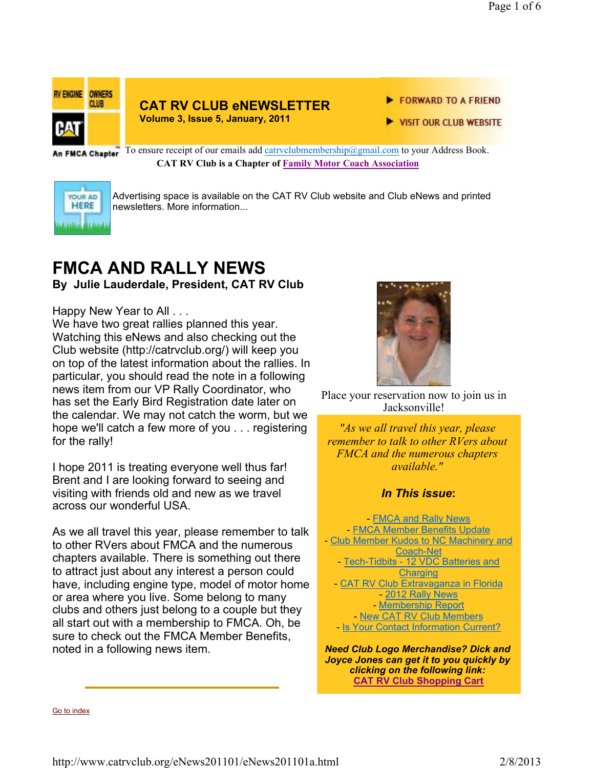

### **CAT RV CLUB eNEWSLETTER**

**Volume 3, Issue 5, January, 2011**

FORWARD TO A FRIEND

VISIT OUR CLUB WEBSITE

An FMCA Chapter<sup>7</sup> To ensure receipt of our emails add catrvclubmembership@gmail.com to your Address Book. **CAT RV Club is a Chapter of Family Motor Coach Association** 



Advertising space is available on the CAT RV Club website and Club eNews and printed newsletters. More information...

# **FMCA AND RALLY NEWS**

**By Julie Lauderdale, President, CAT RV Club**

#### Happy New Year to All . . .

We have two great rallies planned this year. Watching this eNews and also checking out the Club website (http://catrvclub.org/) will keep you on top of the latest information about the rallies. In particular, you should read the note in a following news item from our VP Rally Coordinator, who has set the Early Bird Registration date later on the calendar. We may not catch the worm, but we hope we'll catch a few more of you . . . registering for the rally!

I hope 2011 is treating everyone well thus far! Brent and I are looking forward to seeing and visiting with friends old and new as we travel across our wonderful USA.

As we all travel this year, please remember to talk to other RVers about FMCA and the numerous chapters available. There is something out there to attract just about any interest a person could have, including engine type, model of motor home or area where you live. Some belong to many clubs and others just belong to a couple but they all start out with a membership to FMCA. Oh, be sure to check out the FMCA Member Benefits, noted in a following news item.



Place your reservation now to join us in Jacksonville!

*"As we all travel this year, please remember to talk to other RVers about FMCA and the numerous chapters available."* 

### *In This issue***:**

- FMCA and Rally News - FMCA Member Benefits Update - Club Member Kudos to NC Machinery and Coach-Net - Tech-Tidbits - 12 VDC Batteries and **Charging CAT RV Club Extravaganza in Florida** - 2012 Rally News - Membership Report - New CAT RV Club Members - Is Your Contact Information Current?

*Need Club Logo Merchandise? Dick and Joyce Jones can get it to you quickly by clicking on the following link:*  **CAT RV Club Shopping Cart**

Go to index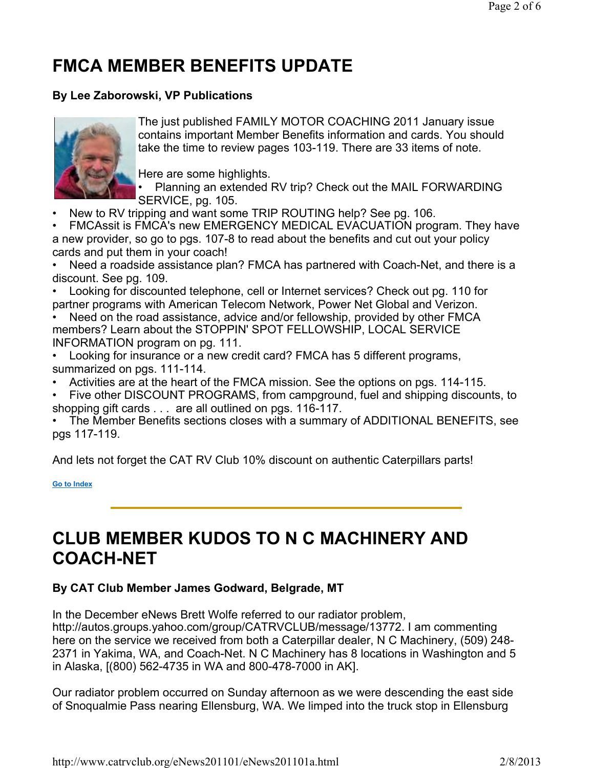# **FMCA MEMBER BENEFITS UPDATE**

### **By Lee Zaborowski, VP Publications**



The just published FAMILY MOTOR COACHING 2011 January issue contains important Member Benefits information and cards. You should take the time to review pages 103-119. There are 33 items of note.

Here are some highlights.

- Planning an extended RV trip? Check out the MAIL FORWARDING SERVICE, pg. 105.
- New to RV tripping and want some TRIP ROUTING help? See pg. 106.

• FMCAssit is FMCA's new EMERGENCY MEDICAL EVACUATION program. They have a new provider, so go to pgs. 107-8 to read about the benefits and cut out your policy cards and put them in your coach!

• Need a roadside assistance plan? FMCA has partnered with Coach-Net, and there is a discount. See pg. 109.

• Looking for discounted telephone, cell or Internet services? Check out pg. 110 for partner programs with American Telecom Network, Power Net Global and Verizon.

• Need on the road assistance, advice and/or fellowship, provided by other FMCA members? Learn about the STOPPIN' SPOT FELLOWSHIP, LOCAL SERVICE INFORMATION program on pg. 111.

- Looking for insurance or a new credit card? FMCA has 5 different programs, summarized on pgs. 111-114.
- Activities are at the heart of the FMCA mission. See the options on pgs. 114-115.
- Five other DISCOUNT PROGRAMS, from campground, fuel and shipping discounts, to shopping gift cards . . . are all outlined on pgs. 116-117.

• The Member Benefits sections closes with a summary of ADDITIONAL BENEFITS, see pgs 117-119.

And lets not forget the CAT RV Club 10% discount on authentic Caterpillars parts!

**Go to Index**

## **CLUB MEMBER KUDOS TO N C MACHINERY AND COACH-NET**

### **By CAT Club Member James Godward, Belgrade, MT**

In the December eNews Brett Wolfe referred to our radiator problem, http://autos.groups.yahoo.com/group/CATRVCLUB/message/13772. I am commenting here on the service we received from both a Caterpillar dealer, N C Machinery, (509) 248- 2371 in Yakima, WA, and Coach-Net. N C Machinery has 8 locations in Washington and 5 in Alaska, [(800) 562-4735 in WA and 800-478-7000 in AK].

Our radiator problem occurred on Sunday afternoon as we were descending the east side of Snoqualmie Pass nearing Ellensburg, WA. We limped into the truck stop in Ellensburg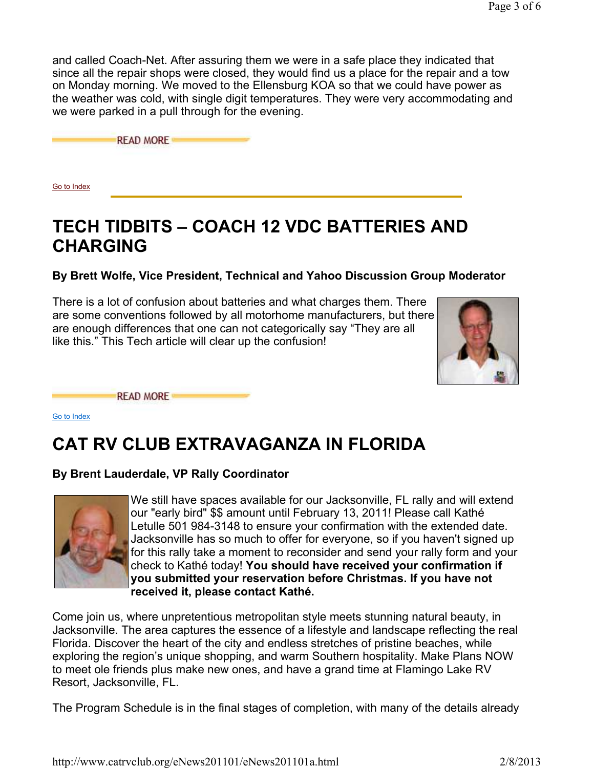and called Coach-Net. After assuring them we were in a safe place they indicated that since all the repair shops were closed, they would find us a place for the repair and a tow on Monday morning. We moved to the Ellensburg KOA so that we could have power as the weather was cold, with single digit temperatures. They were very accommodating and we were parked in a pull through for the evening.

**READ MORE** 

Go to Index

## **TECH TIDBITS – COACH 12 VDC BATTERIES AND CHARGING**

**By Brett Wolfe, Vice President, Technical and Yahoo Discussion Group Moderator**

There is a lot of confusion about batteries and what charges them. There are some conventions followed by all motorhome manufacturers, but there are enough differences that one can not categorically say "They are all like this." This Tech article will clear up the confusion!



**READ MORE** 

Go to Index

## **CAT RV CLUB EXTRAVAGANZA IN FLORIDA**

### **By Brent Lauderdale, VP Rally Coordinator**



We still have spaces available for our Jacksonville, FL rally and will extend our "early bird" \$\$ amount until February 13, 2011! Please call Kathé Letulle 501 984-3148 to ensure your confirmation with the extended date. Jacksonville has so much to offer for everyone, so if you haven't signed up for this rally take a moment to reconsider and send your rally form and your check to Kathé today! **You should have received your confirmation if you submitted your reservation before Christmas. If you have not received it, please contact Kathé.**

Come join us, where unpretentious metropolitan style meets stunning natural beauty, in Jacksonville. The area captures the essence of a lifestyle and landscape reflecting the real Florida. Discover the heart of the city and endless stretches of pristine beaches, while exploring the region's unique shopping, and warm Southern hospitality. Make Plans NOW to meet ole friends plus make new ones, and have a grand time at Flamingo Lake RV Resort, Jacksonville, FL.

The Program Schedule is in the final stages of completion, with many of the details already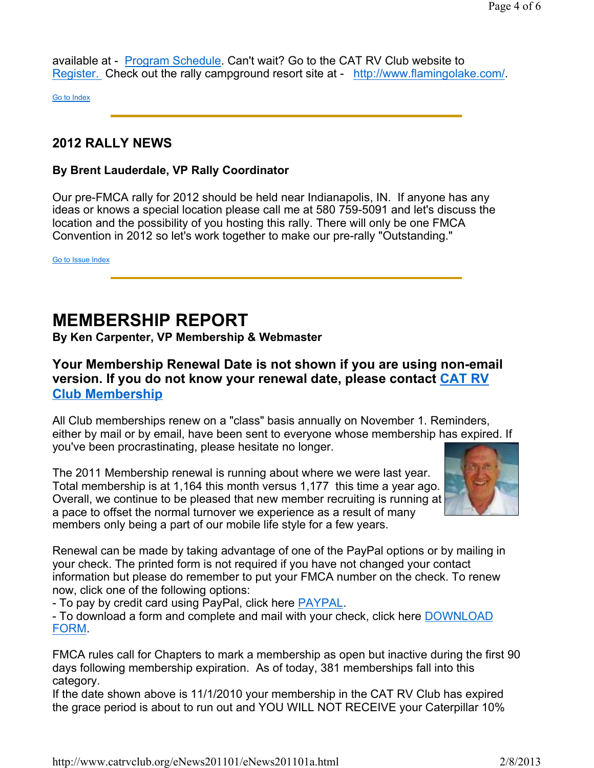available at - Program Schedule. Can't wait? Go to the CAT RV Club website to Register. Check out the rally campground resort site at - http://www.flamingolake.com/.

Go to Index

### **2012 RALLY NEWS**

### **By Brent Lauderdale, VP Rally Coordinator**

Our pre-FMCA rally for 2012 should be held near Indianapolis, IN. If anyone has any ideas or knows a special location please call me at 580 759-5091 and let's discuss the location and the possibility of you hosting this rally. There will only be one FMCA Convention in 2012 so let's work together to make our pre-rally "Outstanding."

Go to Issue Index

## **MEMBERSHIP REPORT**

**By Ken Carpenter, VP Membership & Webmaster**

### **Your Membership Renewal Date is not shown if you are using non-email version. If you do not know your renewal date, please contact CAT RV Club Membership**

All Club memberships renew on a "class" basis annually on November 1. Reminders, either by mail or by email, have been sent to everyone whose membership has expired. If you've been procrastinating, please hesitate no longer.

The 2011 Membership renewal is running about where we were last year. Total membership is at 1,164 this month versus 1,177 this time a year ago. Overall, we continue to be pleased that new member recruiting is running at a pace to offset the normal turnover we experience as a result of many members only being a part of our mobile life style for a few years.



Renewal can be made by taking advantage of one of the PayPal options or by mailing in your check. The printed form is not required if you have not changed your contact information but please do remember to put your FMCA number on the check. To renew now, click one of the following options:

- To pay by credit card using PayPal, click here PAYPAL.

- To download a form and complete and mail with your check, click here DOWNLOAD FORM.

FMCA rules call for Chapters to mark a membership as open but inactive during the first 90 days following membership expiration. As of today, 381 memberships fall into this category.

If the date shown above is 11/1/2010 your membership in the CAT RV Club has expired the grace period is about to run out and YOU WILL NOT RECEIVE your Caterpillar 10%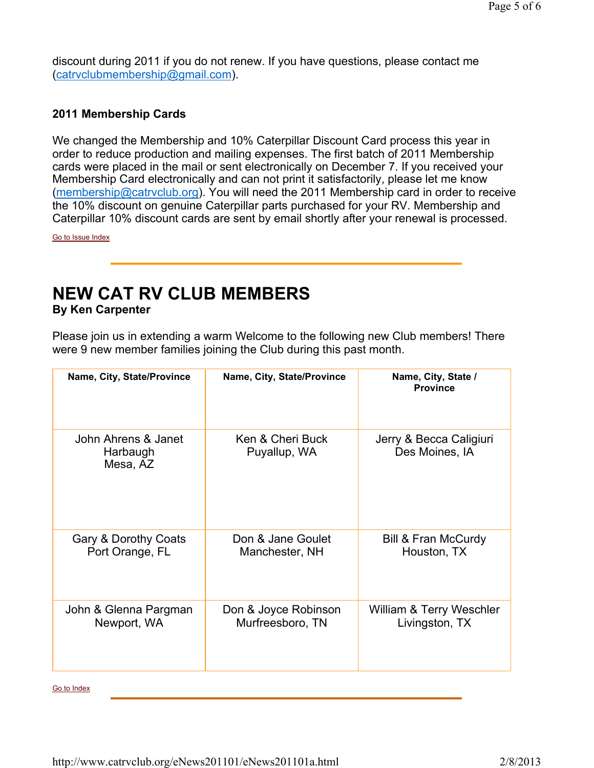discount during 2011 if you do not renew. If you have questions, please contact me (catrvclubmembership@gmail.com).

### **2011 Membership Cards**

We changed the Membership and 10% Caterpillar Discount Card process this year in order to reduce production and mailing expenses. The first batch of 2011 Membership cards were placed in the mail or sent electronically on December 7. If you received your Membership Card electronically and can not print it satisfactorily, please let me know (membership@catrvclub.org). You will need the 2011 Membership card in order to receive the 10% discount on genuine Caterpillar parts purchased for your RV. Membership and Caterpillar 10% discount cards are sent by email shortly after your renewal is processed.

Go to Issue Index

## **NEW CAT RV CLUB MEMBERS**

**By Ken Carpenter**

Please join us in extending a warm Welcome to the following new Club members! There were 9 new member families joining the Club during this past month.

| Name, City, State/Province                  | Name, City, State/Province       | Name, City, State /<br><b>Province</b>    |
|---------------------------------------------|----------------------------------|-------------------------------------------|
| John Ahrens & Janet<br>Harbaugh<br>Mesa, AZ | Ken & Cheri Buck<br>Puyallup, WA | Jerry & Becca Caligiuri<br>Des Moines, IA |
| Gary & Dorothy Coats                        | Don & Jane Goulet                | Bill & Fran McCurdy                       |
| Port Orange, FL                             | Manchester, NH                   | Houston, TX                               |
| John & Glenna Pargman                       | Don & Joyce Robinson             | William & Terry Weschler                  |
| Newport, WA                                 | Murfreesboro, TN                 | Livingston, TX                            |

Go to Index